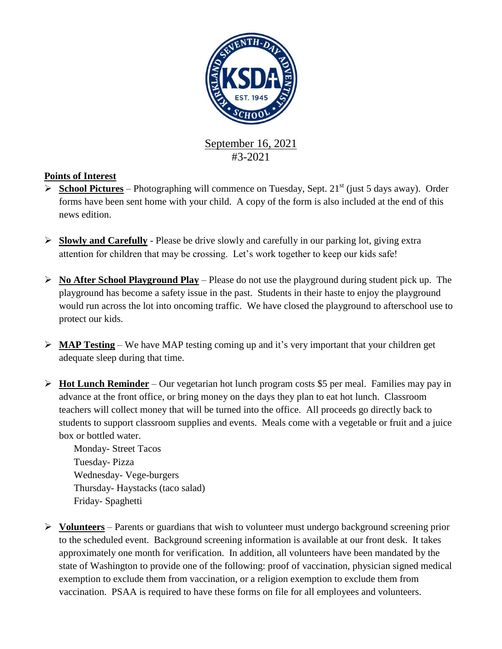

#3-2021

# **Points of Interest**

- **School Pictures** Photographing will commence on Tuesday, Sept. 21<sup>st</sup> (just 5 days away). Order forms have been sent home with your child. A copy of the form is also included at the end of this news edition.
- **Slowly and Carefully** Please be drive slowly and carefully in our parking lot, giving extra attention for children that may be crossing. Let's work together to keep our kids safe!
- **No After School Playground Play** Please do not use the playground during student pick up. The playground has become a safety issue in the past. Students in their haste to enjoy the playground would run across the lot into oncoming traffic. We have closed the playground to afterschool use to protect our kids.
- **MAP Testing** We have MAP testing coming up and it's very important that your children get adequate sleep during that time.
- **Hot Lunch Reminder** Our vegetarian hot lunch program costs \$5 per meal. Families may pay in advance at the front office, or bring money on the days they plan to eat hot lunch. Classroom teachers will collect money that will be turned into the office. All proceeds go directly back to students to support classroom supplies and events. Meals come with a vegetable or fruit and a juice box or bottled water.

Monday- Street Tacos Tuesday- Pizza Wednesday- Vege-burgers Thursday- Haystacks (taco salad) Friday- Spaghetti

 **Volunteers** – Parents or guardians that wish to volunteer must undergo background screening prior to the scheduled event. Background screening information is available at our front desk. It takes approximately one month for verification. In addition, all volunteers have been mandated by the state of Washington to provide one of the following: proof of vaccination, physician signed medical exemption to exclude them from vaccination, or a religion exemption to exclude them from vaccination. PSAA is required to have these forms on file for all employees and volunteers.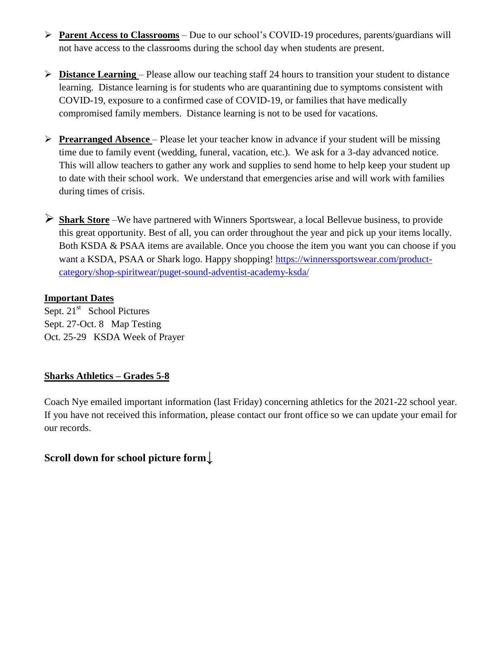- **Parent Access to Classrooms** Due to our school's COVID-19 procedures, parents/guardians will not have access to the classrooms during the school day when students are present.
- **Distance Learning**  Please allow our teaching staff 24 hours to transition your student to distance learning. Distance learning is for students who are quarantining due to symptoms consistent with COVID-19, exposure to a confirmed case of COVID-19, or families that have medically compromised family members. Distance learning is not to be used for vacations.
- **Prearranged Absence** Please let your teacher know in advance if your student will be missing time due to family event (wedding, funeral, vacation, etc.). We ask for a 3-day advanced notice. This will allow teachers to gather any work and supplies to send home to help keep your student up to date with their school work. We understand that emergencies arise and will work with families during times of crisis.
- **Shark Store** –We have partnered with Winners Sportswear, a local Bellevue business, to provide this great opportunity. Best of all, you can order throughout the year and pick up your items locally. Both KSDA & PSAA items are available. Once you choose the item you want you can choose if you want a KSDA, PSAA or Shark logo. Happy shopping! [https://winnerssportswear.com/product](https://winnerssportswear.com/product-category/shop-spiritwear/puget-sound-adventist-academy-ksda/)[category/shop-spiritwear/puget-sound-adventist-academy-ksda/](https://winnerssportswear.com/product-category/shop-spiritwear/puget-sound-adventist-academy-ksda/)

### **Important Dates**

Sept. 21<sup>st</sup> School Pictures Sept. 27-Oct. 8 Map Testing Oct. 25-29 KSDA Week of Prayer

## **Sharks Athletics – Grades 5-8**

Coach Nye emailed important information (last Friday) concerning athletics for the 2021-22 school year. If you have not received this information, please contact our front office so we can update your email for our records.

# **Scroll down for school picture form**↓